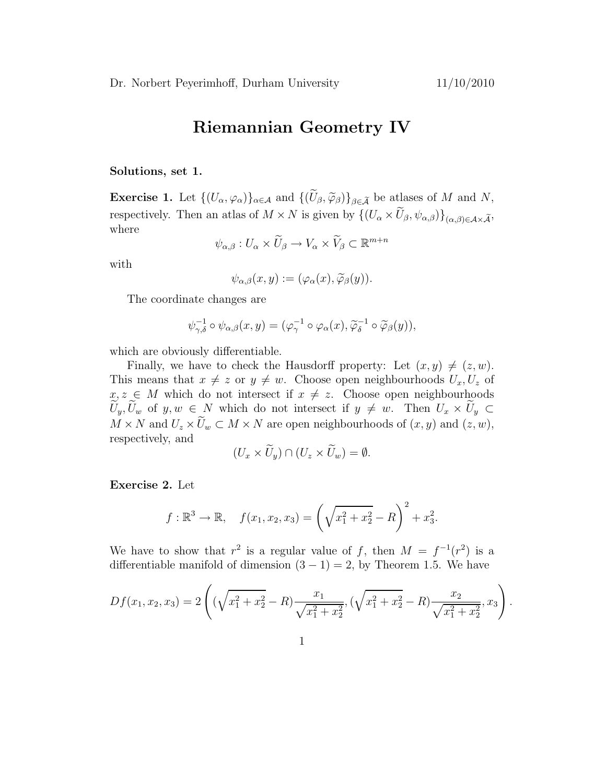## Riemannian Geometry IV

Solutions, set 1.

**Exercise 1.** Let  $\{(U_{\alpha}, \varphi_{\alpha})\}_{\alpha \in \mathcal{A}}$  and  $\{(\widetilde{U}_{\beta}, \widetilde{\varphi}_{\beta})\}_{\beta \in \widetilde{\mathcal{A}}}$  be atlases of M and N, respectively. Then an atlas of  $M \times N$  is given by  $\{(U_{\alpha} \times \widetilde{U}_{\beta}, \psi_{\alpha,\beta})\}_{(\alpha,\beta)\in\mathcal{A}\times\widetilde{\mathcal{A}}},$ where

$$
\psi_{\alpha,\beta}: U_{\alpha}\times \widetilde{U}_{\beta}\to V_{\alpha}\times \widetilde{V}_{\beta}\subset \mathbb{R}^{m+n}
$$

with

$$
\psi_{\alpha,\beta}(x,y) := (\varphi_\alpha(x), \widetilde{\varphi}_\beta(y)).
$$

The coordinate changes are

$$
\psi_{\gamma,\delta}^{-1} \circ \psi_{\alpha,\beta}(x,y) = (\varphi_{\gamma}^{-1} \circ \varphi_{\alpha}(x), \widetilde{\varphi}_{\delta}^{-1} \circ \widetilde{\varphi}_{\beta}(y)),
$$

which are obviously differentiable.

Finally, we have to check the Hausdorff property: Let  $(x, y) \neq (z, w)$ . This means that  $x \neq z$  or  $y \neq w$ . Choose open neighbourhoods  $U_x, U_z$  of  $x, z \in M$  which do not intersect if  $x \neq z$ . Choose open neighbourhoods  $U_y, U_w$  of  $y, w \in N$  which do not intersect if  $y \neq w$ . Then  $U_x \times U_y \subset$  $M \times N$  and  $U_z \times U_w \subset M \times N$  are open neighbourhoods of  $(x, y)$  and  $(z, w)$ , respectively, and

$$
(U_x \times \widetilde{U}_y) \cap (U_z \times \widetilde{U}_w) = \emptyset.
$$

Exercise 2. Let

$$
f: \mathbb{R}^3 \to \mathbb{R}, \quad f(x_1, x_2, x_3) = \left(\sqrt{x_1^2 + x_2^2} - R\right)^2 + x_3^2.
$$

We have to show that  $r^2$  is a regular value of f, then  $M = f^{-1}(r^2)$  is a differentiable manifold of dimension  $(3 - 1) = 2$ , by Theorem 1.5. We have

$$
Df(x_1, x_2, x_3) = 2\left((\sqrt{x_1^2 + x_2^2} - R)\frac{x_1}{\sqrt{x_1^2 + x_2^2}}, (\sqrt{x_1^2 + x_2^2} - R)\frac{x_2}{\sqrt{x_1^2 + x_2^2}}, x_3\right).
$$